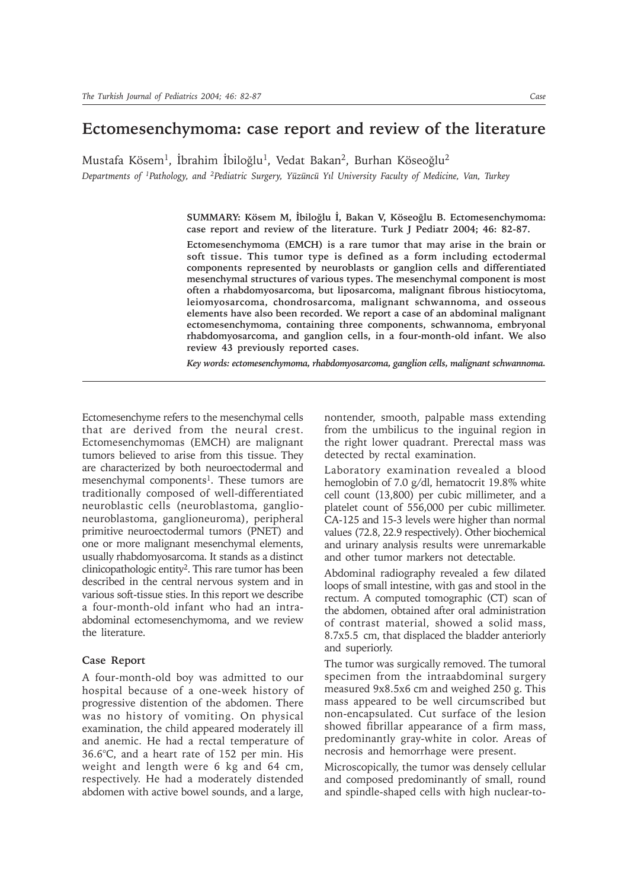## **Ectomesenchymoma: case report and review of the literature**

Mustafa Kösem<sup>1</sup>, İbrahim İbiloğlu<sup>1</sup>, Vedat Bakan<sup>2</sup>, Burhan Köseoğlu<sup>2</sup>

*Departments of 1Pathology, and 2Pediatric Surgery, Yüzüncü Yýl University Faculty of Medicine, Van, Turkey*

**SUMMARY: Kösem M, Ýbiloðlu Ý, Bakan V, Köseoðlu B. Ectomesenchymoma: case report and review of the literature. Turk J Pediatr 2004; 46: 82-87.**

**Ectomesenchymoma (EMCH) is a rare tumor that may arise in the brain or soft tissue. This tumor type is defined as a form including ectodermal components represented by neuroblasts or ganglion cells and differentiated mesenchymal structures of various types. The mesenchymal component is most often a rhabdomyosarcoma, but liposarcoma, malignant fibrous histiocytoma, leiomyosarcoma, chondrosarcoma, malignant schwannoma, and osseous elements have also been recorded. We report a case of an abdominal malignant ectomesenchymoma, containing three components, schwannoma, embryonal rhabdomyosarcoma, and ganglion cells, in a four-month-old infant. We also review 43 previously reported cases.**

*Key words: ectomesenchymoma, rhabdomyosarcoma, ganglion cells, malignant schwannoma.*

Ectomesenchyme refers to the mesenchymal cells that are derived from the neural crest. Ectomesenchymomas (EMCH) are malignant tumors believed to arise from this tissue. They are characterized by both neuroectodermal and mesenchymal components<sup>1</sup>. These tumors are traditionally composed of well-differentiated neuroblastic cells (neuroblastoma, ganglioneuroblastoma, ganglioneuroma), peripheral primitive neuroectodermal tumors (PNET) and one or more malignant mesenchymal elements, usually rhabdomyosarcoma. It stands as a distinct clinicopathologic entity2. This rare tumor has been described in the central nervous system and in various soft-tissue sties. In this report we describe a four-month-old infant who had an intraabdominal ectomesenchymoma, and we review the literature.

## **Case Report**

A four-month-old boy was admitted to our hospital because of a one-week history of progressive distention of the abdomen. There was no history of vomiting. On physical examination, the child appeared moderately ill and anemic. He had a rectal temperature of 36.6°C, and a heart rate of 152 per min. His weight and length were 6 kg and 64 cm, respectively. He had a moderately distended abdomen with active bowel sounds, and a large,

nontender, smooth, palpable mass extending from the umbilicus to the inguinal region in the right lower quadrant. Prerectal mass was detected by rectal examination.

Laboratory examination revealed a blood hemoglobin of 7.0 g/dl, hematocrit 19.8% white cell count (13,800) per cubic millimeter, and a platelet count of 556,000 per cubic millimeter. CA-125 and 15-3 levels were higher than normal values (72.8, 22.9 respectively). Other biochemical and urinary analysis results were unremarkable and other tumor markers not detectable.

Abdominal radiography revealed a few dilated loops of small intestine, with gas and stool in the rectum. A computed tomographic (CT) scan of the abdomen, obtained after oral administration of contrast material, showed a solid mass, 8.7x5.5 cm, that displaced the bladder anteriorly and superiorly.

The tumor was surgically removed. The tumoral specimen from the intraabdominal surgery measured 9x8.5x6 cm and weighed 250 g. This mass appeared to be well circumscribed but non-encapsulated. Cut surface of the lesion showed fibrillar appearance of a firm mass, predominantly gray-white in color. Areas of necrosis and hemorrhage were present.

Microscopically, the tumor was densely cellular and composed predominantly of small, round and spindle-shaped cells with high nuclear-to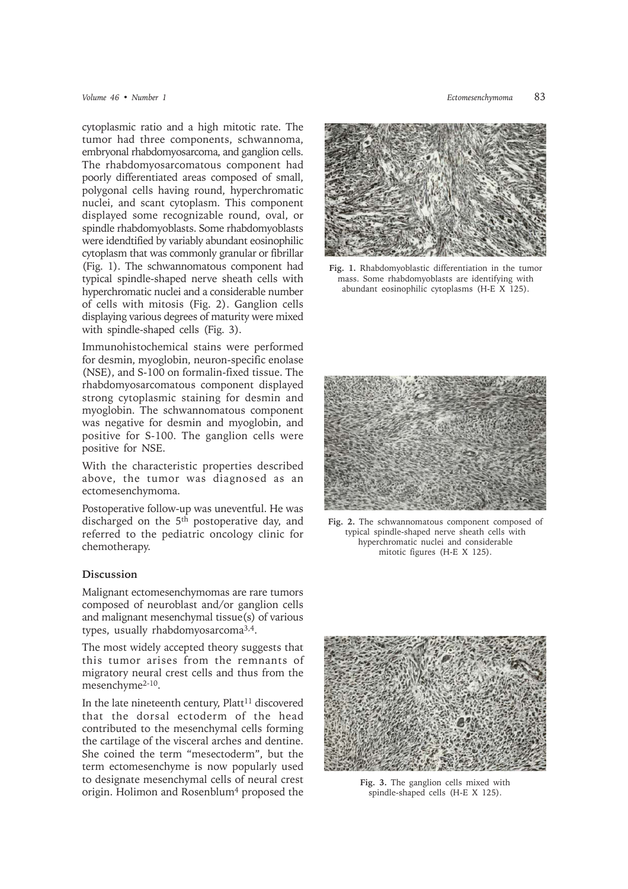cytoplasmic ratio and a high mitotic rate. The tumor had three components, schwannoma, embryonal rhabdomyosarcoma, and ganglion cells. The rhabdomyosarcomatous component had poorly differentiated areas composed of small, polygonal cells having round, hyperchromatic nuclei, and scant cytoplasm. This component displayed some recognizable round, oval, or spindle rhabdomyoblasts. Some rhabdomyoblasts were idendtified by variably abundant eosinophilic cytoplasm that was commonly granular or fibrillar (Fig. 1). The schwannomatous component had typical spindle-shaped nerve sheath cells with hyperchromatic nuclei and a considerable number of cells with mitosis (Fig. 2). Ganglion cells displaying various degrees of maturity were mixed with spindle-shaped cells (Fig. 3).

Immunohistochemical stains were performed for desmin, myoglobin, neuron-specific enolase (NSE), and S-100 on formalin-fixed tissue. The rhabdomyosarcomatous component displayed strong cytoplasmic staining for desmin and myoglobin. The schwannomatous component was negative for desmin and myoglobin, and positive for S-100. The ganglion cells were positive for NSE.

With the characteristic properties described above, the tumor was diagnosed as an ectomesenchymoma.

Postoperative follow-up was uneventful. He was discharged on the 5<sup>th</sup> postoperative day, and referred to the pediatric oncology clinic for chemotherapy.

## **Discussion**

Malignant ectomesenchymomas are rare tumors composed of neuroblast and/or ganglion cells and malignant mesenchymal tissue(s) of various types, usually rhabdomyosarcoma3,4.

The most widely accepted theory suggests that this tumor arises from the remnants of migratory neural crest cells and thus from the mesenchyme2-10.

In the late nineteenth century,  $Platt<sup>11</sup>$  discovered that the dorsal ectoderm of the head contributed to the mesenchymal cells forming the cartilage of the visceral arches and dentine. She coined the term "mesectoderm", but the term ectomesenchyme is now popularly used to designate mesenchymal cells of neural crest origin. Holimon and Rosenblum<sup>4</sup> proposed the



**Fig. 1.** Rhabdomyoblastic differentiation in the tumor mass. Some rhabdomyoblasts are identifying with abundant eosinophilic cytoplasms (H-E X 125).



**Fig. 2.** The schwannomatous component composed of typical spindle-shaped nerve sheath cells with hyperchromatic nuclei and considerable mitotic figures (H-E X 125).



**Fig. 3.** The ganglion cells mixed with spindle-shaped cells (H-E X 125).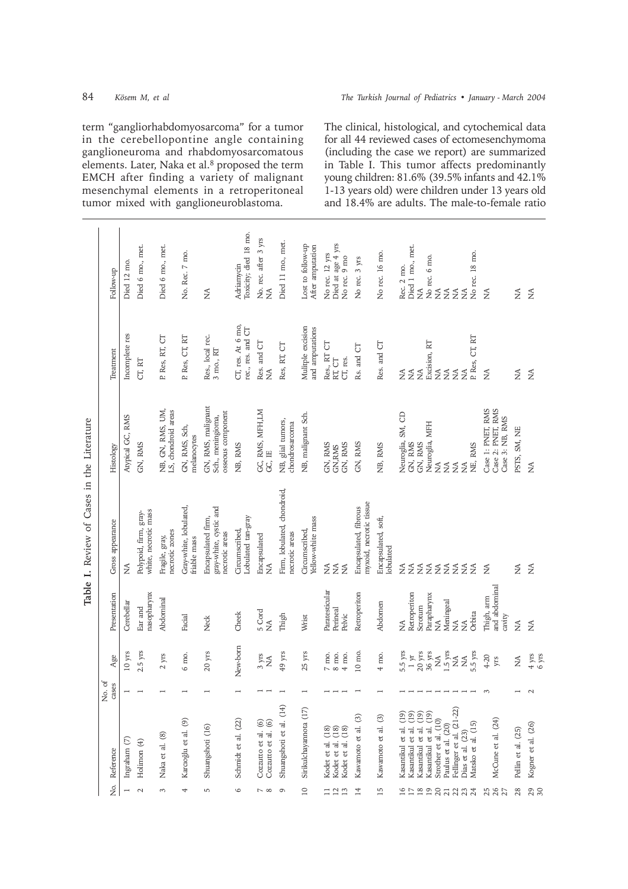|                  |                  |                                               |                                         |                                        | tumor mixed with ganglioneurobiastoma.                         |                                        |                                               |                                               |                                       |                                                             |                                                  |                                  |                                                                                                                 |                        |                                            |                                                                      | and 18.4% are aduits. The male-to-female ratio            |                      |                                       |
|------------------|------------------|-----------------------------------------------|-----------------------------------------|----------------------------------------|----------------------------------------------------------------|----------------------------------------|-----------------------------------------------|-----------------------------------------------|---------------------------------------|-------------------------------------------------------------|--------------------------------------------------|----------------------------------|-----------------------------------------------------------------------------------------------------------------|------------------------|--------------------------------------------|----------------------------------------------------------------------|-----------------------------------------------------------|----------------------|---------------------------------------|
| Follow-up        | Died 12 mo.      | Died 6 mo., met.                              | Died 6 mo., met.                        | No. Rec. 7 mo.                         | $\lessgtr$                                                     | Toxicity; died 18 mo.<br>Adriamycin    | No. rec. after 3 yrs<br>$\boldsymbol{\Sigma}$ | Died 11 mo., met.                             | Lost to follow-up<br>After amputation | Died at age 4 yrs<br>No rec. 12 yrs<br>No rec. 9 mo         | No rec. 3 yrs                                    | No rec. 16 mo.                   | Died 1 mo., met.<br>Rec. 2 mo.<br>$\lessapprox$                                                                 |                        | No rec. 6 mo.<br>NA<br>NA                  | No rec. 18 mo.<br>$\lessgtr$<br>$\boldsymbol{\Sigma}$                | $\tilde{\geq}$                                            | $\lessapprox$        | $\lessapprox$                         |
| Treatment        | Incomplete res   | CT, RT                                        | P. Res, RT, CT                          | P. Res, CT, RT                         | Res., local rec.<br>$3$ mo., $\operatorname{RT}$               | CT, res. At 6 mo,<br>rec., res. and CT | Res. and CT<br>$\lessapprox$                  | Res, RT, CT                                   | Mulitple excision<br>and amputations  | Res., RT CT<br>CT, res.<br>RT, CT                           | Rs. and CT                                       | Res. and CT                      | $\lessapprox$<br>$\widetilde{\Sigma}$<br>$\lesssim$                                                             | Excision, RT           | $\lessapprox$<br>$\lesssim$                | P. Res, CT, RT<br>$\lessapprox$<br>$\tilde{\Sigma}$                  | $\lesssim$                                                | $\lessapprox$        | $\lessapprox$                         |
| Histology        | Atypical GC, RMS | GN, RMS                                       | NB, GN, RMS, UM,<br>LS, chondroid areas | GN, RMS, Sch,<br>melanocytes           | GN, RMS, malignant<br>osseous component<br>Sch., meningioma,   | NB, RMS                                | GC, RMS, MFH,LM<br>GC, IE                     | NB, glial tumors,<br>chondrosarcoma           | NB, malignant Sch.                    | GN, RMS<br>GN, RMS<br>GN, RMS                               | GN, RMS                                          | NB, RMS                          | Neuroglia, SM, CD<br>GN, RMS<br>GN, RMS                                                                         | Neuroglia, MFH         | $\lessapprox$<br>$\lesssim$                | NE, RMS<br>$\lessapprox$<br>É                                        | Case 1: PNET, RMS<br>Case 2: PNET, RMS<br>Case 3: NB, RMS | PSTS, SM, NE         | $\frac{1}{2}$                         |
| Gross appearance | $\frac{1}{2}$    | white, necrotic mass<br>Polypoid, firm, gray- | necrotic zones<br>Fragile, gray,        | Gray-white, lobulated,<br>friable mass | gray-white, cystic and<br>Encapsulated firm,<br>necrotic areas | Lobulated tan-gray<br>Circumscribed,   | Encapsulated<br>Ş                             | Firm, lobulated, chondroid,<br>necrotic areas | Yellow-white mass<br>Circumscribed,   | $\frac{1}{2}$<br>Ş<br>≸                                     | myxoid, necrotic tissue<br>Encapsulated, fibrous | Encapsulated, soft,<br>lobulated | Ş<br>$\lessapprox$<br>$\lessapprox$                                                                             | ≨≨                     | $\lessapprox$                              | $\lessgtr$<br>$\tilde{\Sigma}$<br>$\tilde{z}$                        | $\lesssim$                                                | $\lessapprox$        | $\lessapprox$                         |
| Presentation     | Cerebellar       | nasopharynx<br>Ear and                        | Abdominal                               | Facial                                 | Neck                                                           | Cheek                                  | 5 Cord<br>$\tilde{z}$                         | Thigh                                         | Wrist                                 | Paratesticular<br>Perineal<br>Pelvic                        | Retroperiton                                     | Abdomen                          | Retroperiton<br>Scrotum<br>$\frac{1}{2}$                                                                        | Parapharynx            | Meningeal<br>$\widetilde{\Sigma}$          | Orbita<br>$\tilde{z}$<br>$\tilde{\Sigma}$                            | and abdominal<br>Thigh, arm<br>cavity                     | $\widetilde{\Sigma}$ | $\lessapprox$                         |
| Age              | 10 yrs           | $2.5$ yrs                                     | $2 \ \mathrm{yrs}$                      | $6$ mo.                                | $20 \ \mathrm{yrs}$                                            | New-born                               | $3 \text{ yrs}$<br>$\lessgtr$                 | $49 \text{ yrs}$                              | $25 \text{ yrs}$                      | 8 mo.<br>7 mo.<br>4 mo.                                     | $10\,$ mo.                                       | 4 mo.                            | $\begin{array}{c} 5.5 \text{ yrs} \\ 1 \text{ yr} \\ 20 \text{ yrs} \\ 36 \text{ yrs} \\ \text{NA} \end{array}$ |                        | $1.5$ yrs                                  | 5.5 yrs<br>$\lessapprox$<br>$\lessgtr$                               | 4-20<br>yrs                                               | $\lessapprox$        | $\frac{4 \text{ yrs}}{6 \text{ yrs}}$ |
| No. of<br>cases  |                  |                                               |                                         |                                        |                                                                |                                        |                                               |                                               |                                       |                                                             |                                                  |                                  |                                                                                                                 |                        |                                            |                                                                      | $\sim$                                                    |                      | $\sim$                                |
| Reference        | Ingraham (7)     | Holimon (4)                                   | Naka et al. (8)                         | Karcıoğlu et al. (9)                   | Shuangshoti (16)                                               | Schmidt et al. (22)                    | Cozzutto et al. (6)<br>Cozzutto et al. (6)    | Shuangshoti et al. (14)                       | Sirikuldhayannota (17)                | Kodet et al. (18)<br>Kodet et al. (18)<br>Kodet et al. (18) | Kawamoto et al. (3)                              | $\odot$<br>Kawamoto et al.       | Kasantikul et al. (19)<br>Kasantikul et al. (19)<br>Kasantikul et al. (19)                                      | Kasantikul et al. (19) | Strother et al. (10)<br>Paulus et al. (20) | Fellinger et al. (21-22)<br>Matsko et al. (15)<br>Dias et al. $(23)$ | McCune et al. (24)                                        | Pellin et al. (25)   | Kogner et al. (26)                    |
| ż.               |                  | $\mathbf 2$                                   | 3                                       | 4                                      | 5                                                              | $\circ$                                | $\sim \infty$                                 | $\sigma$                                      | $\approx$                             | 112<br>$\overline{13}$                                      | 14                                               | 15                               | $16 \overline{C}$                                                                                               | 2920                   |                                            | 2232                                                                 | 387                                                       | 28                   | 29                                    |

term "gangliorhabdomyosarcoma" for a tumor in the cerebellopontine angle containing ganglioneuroma and rhabdomyosarcomatous elements. Later, Naka et al.<sup>8</sup> proposed the term EMCH after finding a variety of malignant mesenchymal elements in a retroperitoneal<br>tumor mixed with ganglioneuroblastoma tumor mixed with ganglioneuroblastoma.  $\overline{\phantom{a}}$ 

The clinical, histological, and cytochemical data for all 44 reviewed cases of ectomesenchymoma (including the case we report) are summarized in Table I. This tumor affects predominantly young children: 81.6% (39.5% infants and 42.1% 1-13 years old) were children under 13 years old<br>and 18.4% are adults. The male-to-female ratio dults. The male-to-female ratio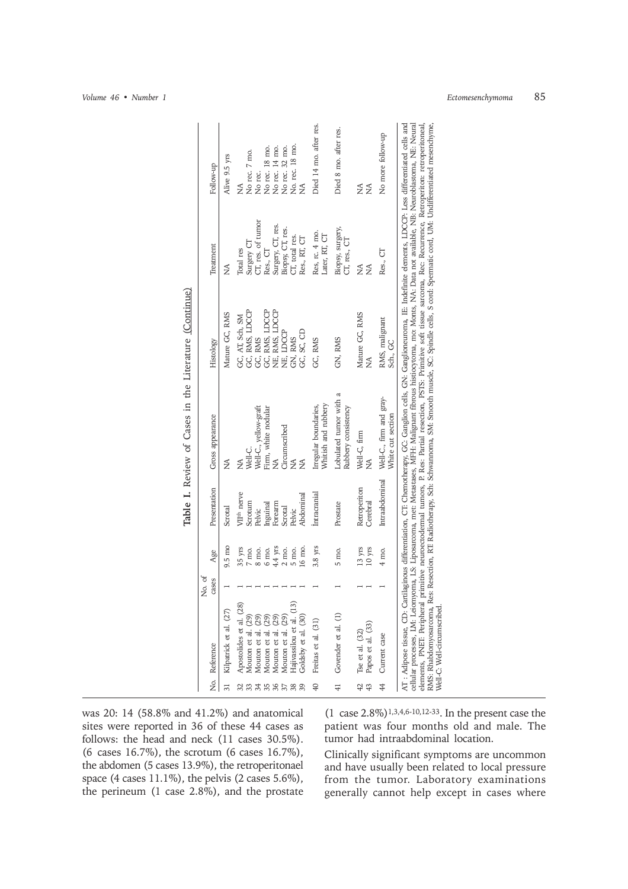|                 |                                                                                              |                 |                                         |                          | Table I. Review of Cases in the Literature (Continue)                                                                                                                                                                                                                                                                                                                                                                                                                                                                                                                                                                                                                                                                    |                                               |                                       |                        |
|-----------------|----------------------------------------------------------------------------------------------|-----------------|-----------------------------------------|--------------------------|--------------------------------------------------------------------------------------------------------------------------------------------------------------------------------------------------------------------------------------------------------------------------------------------------------------------------------------------------------------------------------------------------------------------------------------------------------------------------------------------------------------------------------------------------------------------------------------------------------------------------------------------------------------------------------------------------------------------------|-----------------------------------------------|---------------------------------------|------------------------|
|                 | No. Reference                                                                                | No. of<br>cases | Age                                     | Presentation             | Gross appearance                                                                                                                                                                                                                                                                                                                                                                                                                                                                                                                                                                                                                                                                                                         | Histology                                     | Treatment                             | Follow-up              |
| 31              | Kilpatrick et al. (27)                                                                       |                 | $9.5 \text{ mo}$                        | Scrotal                  | ≸                                                                                                                                                                                                                                                                                                                                                                                                                                                                                                                                                                                                                                                                                                                        | Mature GC, RMS                                | Ş                                     | Alive 9.5 yrs          |
| 32              | Apostolides et al. (28)                                                                      |                 | 35 yrs                                  | VII <sup>th</sup> nerve  | Ş                                                                                                                                                                                                                                                                                                                                                                                                                                                                                                                                                                                                                                                                                                                        | GC, AT, Sch, SM                               | Total res                             | $\frac{1}{2}$          |
|                 |                                                                                              |                 | $7$ mo.                                 | Scrotum                  | Well-C.                                                                                                                                                                                                                                                                                                                                                                                                                                                                                                                                                                                                                                                                                                                  | GC, RMS, LDCCP                                | Surgery CT                            | No rec. 7 mo.          |
|                 |                                                                                              |                 | $8$ mo.                                 | Pelvic                   | Well-C., yellow-graft                                                                                                                                                                                                                                                                                                                                                                                                                                                                                                                                                                                                                                                                                                    | GC, RMS                                       | CT, res. of tumor                     | No rec.                |
| 345678          | Mouton et al. $(29)$<br>Mouton et al. $(29)$<br>Mouton et al. $(29)$<br>Mouton et al. $(29)$ |                 | 6 mo.                                   | Inguinal                 | Firm, white nodular                                                                                                                                                                                                                                                                                                                                                                                                                                                                                                                                                                                                                                                                                                      | GC, RMS, LDCCP<br>NE, RMS, LDCCP<br>NE, LDCCP | Res., CT                              | No rec. 18 mo.         |
|                 |                                                                                              |                 | $4.4~\mathrm{yrs}$                      | Forearm                  | Ź                                                                                                                                                                                                                                                                                                                                                                                                                                                                                                                                                                                                                                                                                                                        |                                               |                                       | No rec. 14 mo.         |
|                 | Mouton et al. (29)                                                                           |                 | $2 \text{ mo.}$                         | Scrotal                  | Circumscribed                                                                                                                                                                                                                                                                                                                                                                                                                                                                                                                                                                                                                                                                                                            |                                               | Surgery, CT, res.<br>Biopsy, CT, res. | No rec. 32 mo.         |
|                 | Hajivassilou et al. (<br>Goldsby et al. (30)                                                 |                 | 5 mo.                                   | Pelvic                   | $\frac{1}{2}$                                                                                                                                                                                                                                                                                                                                                                                                                                                                                                                                                                                                                                                                                                            | GN, RMS                                       | CT, total res.                        | No. rec. 18 mo.        |
| 39              |                                                                                              |                 | 16 mo.                                  | Abdominal                | Ş                                                                                                                                                                                                                                                                                                                                                                                                                                                                                                                                                                                                                                                                                                                        | GC, SC, CD                                    | Res., RT, CT                          | ≸                      |
| $\sqrt{4}$      | Freitas et al. (31)                                                                          |                 | $3.8\;\mathrm{yrs}$                     | Intracranial             | Whitish and rubbery<br>Irregular boundaries,                                                                                                                                                                                                                                                                                                                                                                                                                                                                                                                                                                                                                                                                             | GC, RMS                                       | Res, rc. 4 mo.<br>Later, RT, CT       | Died 14 mo. after res. |
| $\overline{41}$ | Govender et al. (1)                                                                          |                 | 5 mo.                                   | Prostate                 | Lobulated tumor with a<br>Rubbery consistency                                                                                                                                                                                                                                                                                                                                                                                                                                                                                                                                                                                                                                                                            | GN, RMS                                       | Biopsy, surgery,<br>CT, res., CT      | Died 8 mo. after res.  |
| 42<br>43        | Tse et al. $(32)$<br>Papos et al. $(33)$                                                     |                 | $13 \ \mathrm{yrs}$<br>$10 \text{ yrs}$ | Retroperiton<br>Cerebral | Well-C, firm<br>≸                                                                                                                                                                                                                                                                                                                                                                                                                                                                                                                                                                                                                                                                                                        | Mature GC, RMS<br>Ş                           | $\frac{1}{2}$<br>Ş                    | Ź<br>≸                 |
|                 |                                                                                              |                 |                                         |                          |                                                                                                                                                                                                                                                                                                                                                                                                                                                                                                                                                                                                                                                                                                                          |                                               |                                       |                        |
| 44              | Current case                                                                                 |                 | 4 mo.                                   | Intraabdominal           | Well-C., firm and gray-<br>White cut section                                                                                                                                                                                                                                                                                                                                                                                                                                                                                                                                                                                                                                                                             | RMS, malignant<br>Sch., GC                    | Res., CT                              | No more follow-up      |
|                 | Well-C: Well-drcumscribed                                                                    |                 |                                         |                          | cellular processes, LM: Leiomyoma, LS: Liposarcoma, met: Metastases, MFH: Malignant fibrous histiocytoma, mo: Monts, NA: Data not available, NB: Neuroblastoma, NE: Neural<br>elements, PNET Peripheral primitive neuroectodermal tumors, P. Res: Partial resection, PSTS: Primitive soft tissue sarcoma, Rec: Recurrence, Retroperiton: retroperitoneal,<br>AT : Adipose tissue, CD: Cartilaginous differentiation, CT: Chemotherapy, GG: Ganglion cells, GN: Ganglioneuroma, IE: Indefinite elements, LDCCP: Less differentiated cells and<br>RMS: Rhabdomyosarcoma, Res: Resection, RT: Radiotherapy, Sch: Schwannoma, SM: Smooth muscle, SC: Spindle cells, S cord: Spermatic cord, UM: Undifferentiated mesenchyme, |                                               |                                       |                        |

was 20: 14 (58.8% and 41.2%) and anatomical sites were reported in 36 of these 44 cases as follows: the head and neck (11 cases 30.5%). (6 cases 16.7%), the scrotum (6 cases 16.7%), the abdomen (5 cases 13.9%), the retroperitonael space (4 cases 11.1%), the pelvis (2 cases 5.6%), the perineum (1 case 2.8%), and the prostate

 $(1 \csc 2.8\%)$ <sup>1,3,4,6-10,12-33</sup>. In the present case the patient was four months old and male. The tumor had intraabdominal location.

Clinically significant symptoms are uncommon and have usually been related to local pressure from the tumor. Laboratory examinations generally cannot help except in cases where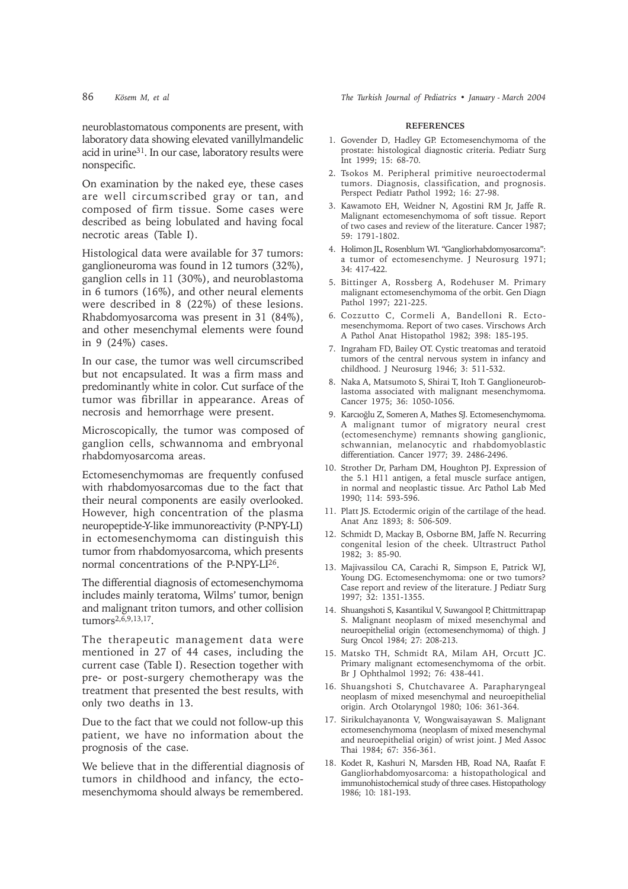neuroblastomatous components are present, with laboratory data showing elevated vanillylmandelic acid in urine31. In our case, laboratory results were nonspecific.

On examination by the naked eye, these cases are well circumscribed gray or tan, and composed of firm tissue. Some cases were described as being lobulated and having focal necrotic areas (Table I).

Histological data were available for 37 tumors: ganglioneuroma was found in 12 tumors (32%), ganglion cells in 11 (30%), and neuroblastoma in 6 tumors (16%), and other neural elements were described in 8 (22%) of these lesions. Rhabdomyosarcoma was present in 31 (84%), and other mesenchymal elements were found in 9 (24%) cases.

In our case, the tumor was well circumscribed but not encapsulated. It was a firm mass and predominantly white in color. Cut surface of the tumor was fibrillar in appearance. Areas of necrosis and hemorrhage were present.

Microscopically, the tumor was composed of ganglion cells, schwannoma and embryonal rhabdomyosarcoma areas.

Ectomesenchymomas are frequently confused with rhabdomyosarcomas due to the fact that their neural components are easily overlooked. However, high concentration of the plasma neuropeptide-Y-like immunoreactivity (P-NPY-LI) in ectomesenchymoma can distinguish this tumor from rhabdomyosarcoma, which presents normal concentrations of the P-NPY-LI26.

The differential diagnosis of ectomesenchymoma includes mainly teratoma, Wilms' tumor, benign and malignant triton tumors, and other collision tumors<sup>2,6,9,13,17</sup>.

The therapeutic management data were mentioned in 27 of 44 cases, including the current case (Table I). Resection together with pre- or post-surgery chemotherapy was the treatment that presented the best results, with only two deaths in 13.

Due to the fact that we could not follow-up this patient, we have no information about the prognosis of the case.

We believe that in the differential diagnosis of tumors in childhood and infancy, the ectomesenchymoma should always be remembered.

86 *Kösem M, et al The Turkish Journal of Pediatrics • January - March 2004*

## **REFERENCES**

- 1. Govender D, Hadley GP. Ectomesenchymoma of the prostate: histological diagnostic criteria. Pediatr Surg Int 1999; 15: 68-70.
- 2. Tsokos M. Peripheral primitive neuroectodermal tumors. Diagnosis, classification, and prognosis. Perspect Pediatr Pathol 1992; 16: 27-98.
- 3. Kawamoto EH, Weidner N, Agostini RM Jr, Jaffe R. Malignant ectomesenchymoma of soft tissue. Report of two cases and review of the literature. Cancer 1987; 59: 1791-1802.
- 4. Holimon JL, Rosenblum WI. "Gangliorhabdomyosarcoma": a tumor of ectomesenchyme. J Neurosurg 1971; 34: 417-422.
- 5. Bittinger A, Rossberg A, Rodehuser M. Primary malignant ectomesenchymoma of the orbit. Gen Diagn Pathol 1997; 221-225.
- 6. Cozzutto C, Cormeli A, Bandelloni R. Ectomesenchymoma. Report of two cases. Virschows Arch A Pathol Anat Histopathol 1982; 398: 185-195.
- 7. Ingraham FD, Bailey OT. Cystic treatomas and teratoid tumors of the central nervous system in infancy and childhood. J Neurosurg 1946; 3: 511-532.
- 8. Naka A, Matsumoto S, Shirai T, Itoh T. Ganglioneuroblastoma associated with malignant mesenchymoma. Cancer 1975; 36: 1050-1056.
- 9. Karcioğlu Z, Someren A, Mathes SJ. Ectomesenchymoma. A malignant tumor of migratory neural crest (ectomesenchyme) remnants showing ganglionic, schwannian, melanocytic and rhabdomyoblastic differentiation. Cancer 1977; 39. 2486-2496.
- 10. Strother Dr, Parham DM, Houghton PJ. Expression of the 5.1 H11 antigen, a fetal muscle surface antigen, in normal and neoplastic tissue. Arc Pathol Lab Med 1990; 114: 593-596.
- 11. Platt JS. Ectodermic origin of the cartilage of the head. Anat Anz 1893; 8: 506-509.
- 12. Schmidt D, Mackay B, Osborne BM, Jaffe N. Recurring congenital lesion of the cheek. Ultrastruct Pathol 1982; 3: 85-90.
- 13. Majivassilou CA, Carachi R, Simpson E, Patrick WJ, Young DG. Ectomesenchymoma: one or two tumors? Case report and review of the literature. J Pediatr Surg 1997; 32: 1351-1355.
- 14. Shuangshoti S, Kasantikul V, Suwangool P, Chittmittrapap S. Malignant neoplasm of mixed mesenchymal and neuroepithelial origin (ectomesenchymoma) of thigh. J Surg Oncol 1984; 27: 208-213.
- 15. Matsko TH, Schmidt RA, Milam AH, Orcutt JC. Primary malignant ectomesenchymoma of the orbit. Br J Ophthalmol 1992; 76: 438-441.
- 16. Shuangshoti S, Chutchavaree A. Parapharyngeal neoplasm of mixed mesenchymal and neuroepithelial origin. Arch Otolaryngol 1980; 106: 361-364.
- 17. Sirikulchayanonta V, Wongwaisayawan S. Malignant ectomesenchymoma (neoplasm of mixed mesenchymal and neuroepithelial origin) of wrist joint. J Med Assoc Thai 1984; 67: 356-361.
- 18. Kodet R, Kashuri N, Marsden HB, Road NA, Raafat F. Gangliorhabdomyosarcoma: a histopathological and immunohistochemical study of three cases. Histopathology 1986; 10: 181-193.